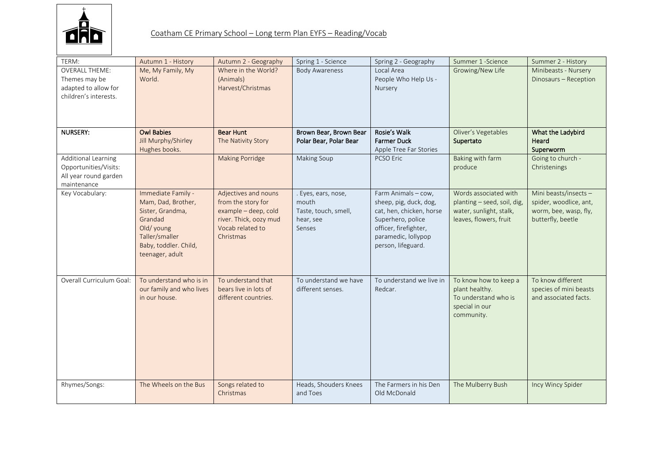

| TERM:                                                                                   | Autumn 1 - History                                                                                                                                 | Autumn 2 - Geography                                                                                                          | Spring 1 - Science                                                          | Spring 2 - Geography                                                                                                                                                 | Summer 1 - Science                                                                                        | Summer 2 - History                                                                           |
|-----------------------------------------------------------------------------------------|----------------------------------------------------------------------------------------------------------------------------------------------------|-------------------------------------------------------------------------------------------------------------------------------|-----------------------------------------------------------------------------|----------------------------------------------------------------------------------------------------------------------------------------------------------------------|-----------------------------------------------------------------------------------------------------------|----------------------------------------------------------------------------------------------|
| <b>OVERALL THEME:</b><br>Themes may be<br>adapted to allow for<br>children's interests. | Me, My Family, My<br>World.                                                                                                                        | Where in the World?<br>(Animals)<br>Harvest/Christmas                                                                         | <b>Body Awareness</b>                                                       | Local Area<br>People Who Help Us -<br>Nursery                                                                                                                        | Growing/New Life                                                                                          | Minibeasts - Nursery<br>Dinosaurs - Reception                                                |
| NURSERY:                                                                                | <b>Owl Babies</b><br>Jill Murphy/Shirley<br>Hughes books.                                                                                          | <b>Bear Hunt</b><br>The Nativity Story                                                                                        | Brown Bear, Brown Bear<br>Polar Bear, Polar Bear                            | Rosie's Walk<br><b>Farmer Duck</b><br>Apple Tree Far Stories                                                                                                         | Oliver's Vegetables<br>Supertato                                                                          | What the Ladybird<br>Heard<br>Superworm                                                      |
| Additional Learning<br>Opportunities/Visits:<br>All year round garden<br>maintenance    |                                                                                                                                                    | <b>Making Porridge</b>                                                                                                        | Making Soup                                                                 | <b>PCSO Eric</b>                                                                                                                                                     | Baking with farm<br>produce                                                                               | Going to church -<br>Christenings                                                            |
| Key Vocabulary:                                                                         | Immediate Family -<br>Mam, Dad, Brother,<br>Sister, Grandma,<br>Grandad<br>Old/young<br>Taller/smaller<br>Baby, toddler. Child,<br>teenager, adult | Adjectives and nouns<br>from the story for<br>example - deep, cold<br>river. Thick, oozy mud<br>Vocab related to<br>Christmas | . Eyes, ears, nose,<br>mouth<br>Taste, touch, smell,<br>hear, see<br>Senses | Farm Animals - cow,<br>sheep, pig, duck, dog,<br>cat, hen, chicken, horse<br>Superhero, police<br>officer, firefighter,<br>paramedic, lollypop<br>person, lifeguard. | Words associated with<br>planting - seed, soil, dig,<br>water, sunlight, stalk,<br>leaves, flowers, fruit | Mini beasts/insects-<br>spider, woodlice, ant,<br>worm, bee, wasp, fly,<br>butterfly, beetle |
| Overall Curriculum Goal:                                                                | To understand who is in<br>our family and who lives<br>in our house.                                                                               | To understand that<br>bears live in lots of<br>different countries.                                                           | To understand we have<br>different senses.                                  | To understand we live in<br>Redcar.                                                                                                                                  | To know how to keep a<br>plant healthy.<br>To understand who is<br>special in our<br>community.           | To know different<br>species of mini beasts<br>and associated facts.                         |
| Rhymes/Songs:                                                                           | The Wheels on the Bus                                                                                                                              | Songs related to<br>Christmas                                                                                                 | Heads, Shouders Knees<br>and Toes                                           | The Farmers in his Den<br>Old McDonald                                                                                                                               | The Mulberry Bush                                                                                         | Incy Wincy Spider                                                                            |